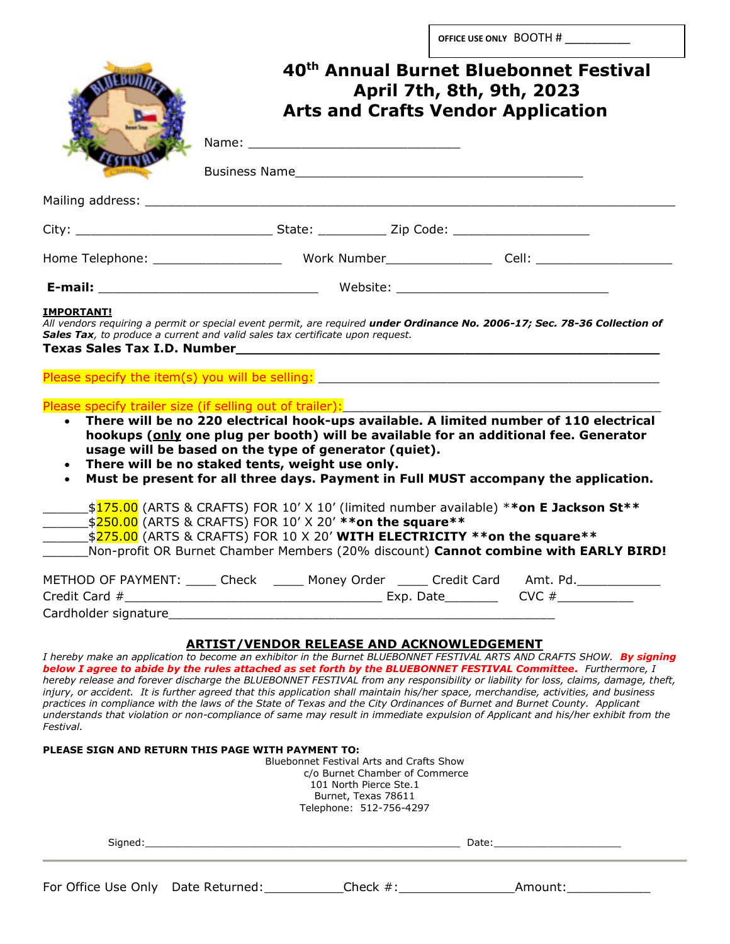|           | 40 <sup>th</sup> Annual Burnet Bluebonnet Festival<br>April 7th, 8th, 9th, 2023<br><b>Arts and Crafts Vendor Application</b>                                                                                                                                                                                                                                                                                                                                                                                                           |
|-----------|----------------------------------------------------------------------------------------------------------------------------------------------------------------------------------------------------------------------------------------------------------------------------------------------------------------------------------------------------------------------------------------------------------------------------------------------------------------------------------------------------------------------------------------|
|           |                                                                                                                                                                                                                                                                                                                                                                                                                                                                                                                                        |
|           |                                                                                                                                                                                                                                                                                                                                                                                                                                                                                                                                        |
|           |                                                                                                                                                                                                                                                                                                                                                                                                                                                                                                                                        |
|           |                                                                                                                                                                                                                                                                                                                                                                                                                                                                                                                                        |
|           | All vendors requiring a permit or special event permit, are required under Ordinance No. 2006-17; Sec. 78-36 Collection of<br>Sales Tax, to produce a current and valid sales tax certificate upon request.                                                                                                                                                                                                                                                                                                                            |
| $\bullet$ | Please specify trailer size (if selling out of trailer):<br>There will be no 220 electrical hook-ups available. A limited number of 110 electrical<br>hookups (only one plug per booth) will be available for an additional fee. Generator<br>usage will be based on the type of generator (quiet).<br>There will be no staked tents, weight use only.<br>Must be present for all three days. Payment in Full MUST accompany the application.<br>\$175.00 (ARTS & CRAFTS) FOR 10' X 10' (limited number available) **on E Jackson St** |
|           | _\$ <mark>250.00</mark> (ARTS & CRAFTS) FOR 10' X 20' ** <b>on the square</b> **<br>\$275.00 (ARTS & CRAFTS) FOR 10 X 20' WITH ELECTRICITY **on the square**<br>Non-profit OR Burnet Chamber Members (20% discount) Cannot combine with EARLY BIRD!                                                                                                                                                                                                                                                                                    |
|           | METHOD OF PAYMENT: _____ Check \times _____ Money Order \times _____ Credit Card \times Amt. Pd.                                                                                                                                                                                                                                                                                                                                                                                                                                       |
|           |                                                                                                                                                                                                                                                                                                                                                                                                                                                                                                                                        |

| Signed:                            |  |             | Date:   |  |
|------------------------------------|--|-------------|---------|--|
| For Office Use Only Date Returned: |  | Check $#$ : | Amount: |  |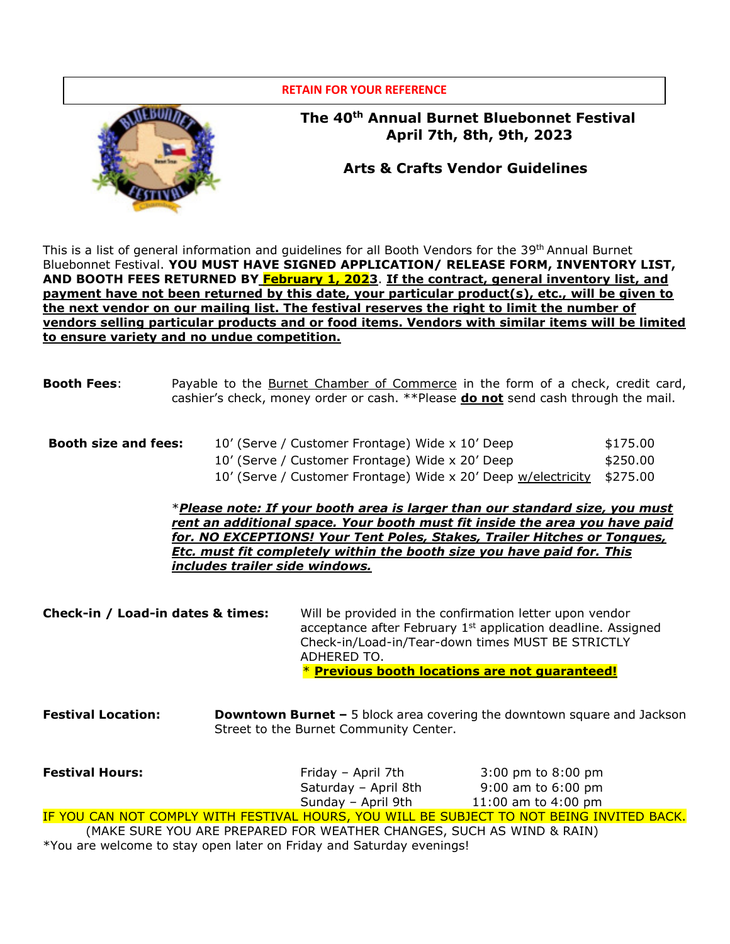

This is a list of general information and guidelines for all Booth Vendors for the 39<sup>th</sup> Annual Burnet Bluebonnet Festival. **YOU MUST HAVE SIGNED APPLICATION/ RELEASE FORM, INVENTORY LIST, AND BOOTH FEES RETURNED BY February 1, 2023**. **If the contract, general inventory list, and payment have not been returned by this date, your particular product(s), etc., will be given to the next vendor on our mailing list. The festival reserves the right to limit the number of vendors selling particular products and or food items. Vendors with similar items will be limited to ensure variety and no undue competition.**

- **Booth Fees**: Payable to the Burnet Chamber of Commerce in the form of a check, credit card, cashier's check, money order or cash. \*\*Please **do not** send cash through the mail.
- **Booth size and fees:** 10' (Serve / Customer Frontage) Wide x 10' Deep \$175.00 10' (Serve / Customer Frontage) Wide x 20' Deep  $$250.00$ 10' (Serve / Customer Frontage) Wide x 20' Deep w/electricity \$275.00

\**Please note: If your booth area is larger than our standard size, you must rent an additional space. Your booth must fit inside the area you have paid for. NO EXCEPTIONS! Your Tent Poles, Stakes, Trailer Hitches or Tongues, Etc. must fit completely within the booth size you have paid for. This includes trailer side windows.* 

**Check-in / Load-in dates & times:** Will be provided in the confirmation letter upon vendor acceptance after February  $1<sup>st</sup>$  application deadline. Assigned Check-in/Load-in/Tear-down times MUST BE STRICTLY ADHERED TO. \* **Previous booth locations are not guaranteed!**

**Festival Location: Downtown Burnet –** 5 block area covering the downtown square and Jackson Street to the Burnet Community Center.

| <b>Festival Hours:</b>                                                                           | Friday – April 7th   | $3:00 \text{ pm}$ to $8:00 \text{ pm}$ |
|--------------------------------------------------------------------------------------------------|----------------------|----------------------------------------|
|                                                                                                  | Saturday - April 8th | $9:00$ am to $6:00$ pm                 |
|                                                                                                  | Sunday - April 9th   | 11:00 am to $4:00 \text{ pm}$          |
| <u>IF YOU CAN NOT COMPLY WITH FESTIVAL HOURS, YOU WILL BE SUBJECT TO NOT BEING INVITED BACK.</u> |                      |                                        |
|                                                                                                  |                      |                                        |

 (MAKE SURE YOU ARE PREPARED FOR WEATHER CHANGES, SUCH AS WIND & RAIN) \*You are welcome to stay open later on Friday and Saturday evenings!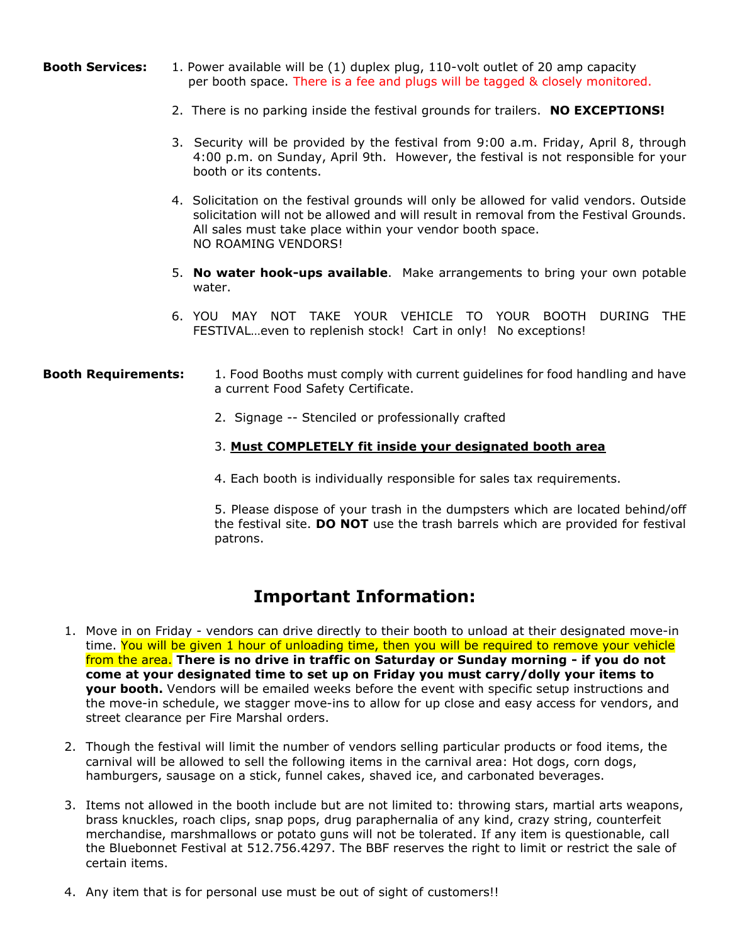- **Booth Services:** 1. Power available will be (1) duplex plug, 110-volt outlet of 20 amp capacity per booth space. There is a fee and plugs will be tagged & closely monitored.
	- 2. There is no parking inside the festival grounds for trailers. **NO EXCEPTIONS!**
	- 3. Security will be provided by the festival from 9:00 a.m. Friday, April 8, through 4:00 p.m. on Sunday, April 9th. However, the festival is not responsible for your booth or its contents.
	- 4. Solicitation on the festival grounds will only be allowed for valid vendors. Outside solicitation will not be allowed and will result in removal from the Festival Grounds. All sales must take place within your vendor booth space. NO ROAMING VENDORS!
	- 5. **No water hook-ups available**. Make arrangements to bring your own potable water.
	- 6. YOU MAY NOT TAKE YOUR VEHICLE TO YOUR BOOTH DURING THE FESTIVAL…even to replenish stock! Cart in only! No exceptions!

### **Booth Requirements:** 1. Food Booths must comply with current guidelines for food handling and have a current Food Safety Certificate.

2. Signage -- Stenciled or professionally crafted

#### 3. **Must COMPLETELY fit inside your designated booth area**

4. Each booth is individually responsible for sales tax requirements.

5. Please dispose of your trash in the dumpsters which are located behind/off the festival site. **DO NOT** use the trash barrels which are provided for festival patrons.

# **Important Information:**

- 1. Move in on Friday vendors can drive directly to their booth to unload at their designated move-in time. You will be given 1 hour of unloading time, then you will be required to remove your vehicle from the area. **There is no drive in traffic on Saturday or Sunday morning - if you do not come at your designated time to set up on Friday you must carry/dolly your items to your booth.** Vendors will be emailed weeks before the event with specific setup instructions and the move-in schedule, we stagger move-ins to allow for up close and easy access for vendors, and street clearance per Fire Marshal orders.
- 2. Though the festival will limit the number of vendors selling particular products or food items, the carnival will be allowed to sell the following items in the carnival area: Hot dogs, corn dogs, hamburgers, sausage on a stick, funnel cakes, shaved ice, and carbonated beverages.
- 3. Items not allowed in the booth include but are not limited to: throwing stars, martial arts weapons, brass knuckles, roach clips, snap pops, drug paraphernalia of any kind, crazy string, counterfeit merchandise, marshmallows or potato guns will not be tolerated. If any item is questionable, call the Bluebonnet Festival at 512.756.4297. The BBF reserves the right to limit or restrict the sale of certain items.
- 4. Any item that is for personal use must be out of sight of customers!!